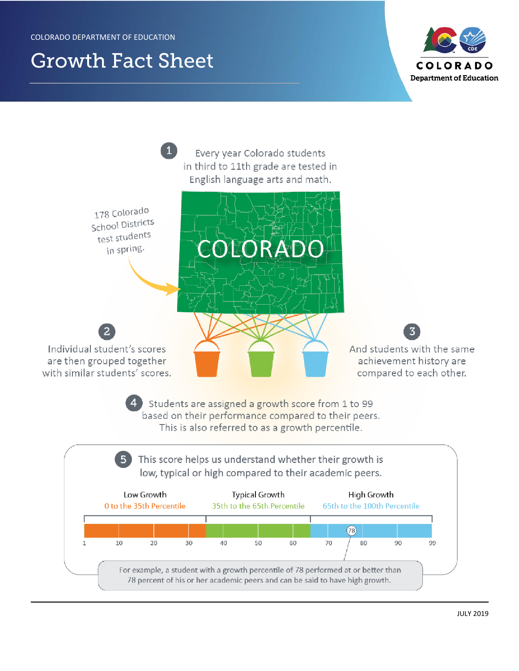# **Growth Fact Sheet**